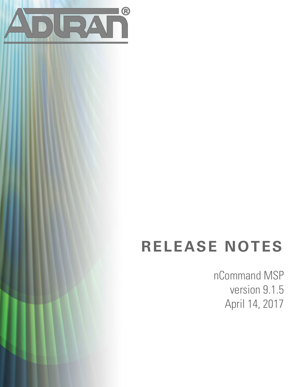

# **RELEASE NOTES**

nCommand MSP version 9.1.5 April 14, 2017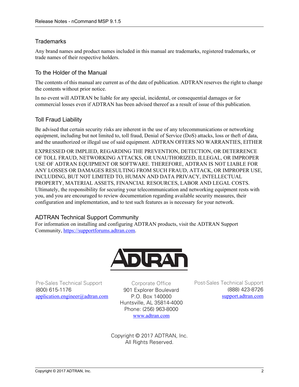#### **Trademarks**

Any brand names and product names included in this manual are trademarks, registered trademarks, or trade names of their respective holders.

#### To the Holder of the Manual

The contents of this manual are current as of the date of publication. ADTRAN reserves the right to change the contents without prior notice.

In no event will ADTRAN be liable for any special, incidental, or consequential damages or for commercial losses even if ADTRAN has been advised thereof as a result of issue of this publication.

#### Toll Fraud Liability

Be advised that certain security risks are inherent in the use of any telecommunications or networking equipment, including but not limited to, toll fraud, Denial of Service (DoS) attacks, loss or theft of data, and the unauthorized or illegal use of said equipment. ADTRAN OFFERS NO WARRANTIES, EITHER

EXPRESSED OR IMPLIED, REGARDING THE PREVENTION, DETECTION, OR DETERRENCE OF TOLL FRAUD, NETWORKING ATTACKS, OR UNAUTHORIZED, ILLEGAL, OR IMPROPER USE OF ADTRAN EQUIPMENT OR SOFTWARE. THEREFORE, ADTRAN IS NOT LIABLE FOR ANY LOSSES OR DAMAGES RESULTING FROM SUCH FRAUD, ATTACK, OR IMPROPER USE, INCLUDING, BUT NOT LIMITED TO, HUMAN AND DATA PRIVACY, INTELLECTUAL PROPERTY, MATERIAL ASSETS, FINANCIAL RESOURCES, LABOR AND LEGAL COSTS. Ultimately, the responsibility for securing your telecommunication and networking equipment rests with you, and you are encouraged to review documentation regarding available security measures, their configuration and implementation, and to test such features as is necessary for your network.

#### ADTRAN Technical Support Community

For information on installing and configuring ADTRAN products, visit the ADTRAN Support Community, https://supportforums.adtran.com.



Pre-Sales Technical Support (800) 615-1176 application.engineer@adtran.com

Corporate Office 901 Explorer Boulevard P.O. Box 140000 Huntsville, AL 35814-4000 Phone: (256) 963-8000 www.adtran.com

Post-Sales Technical Support (888) 423-8726 [support.adtran.com](http://support.adtran.com)

Copyright © 2017 ADTRAN, Inc. All Rights Reserved.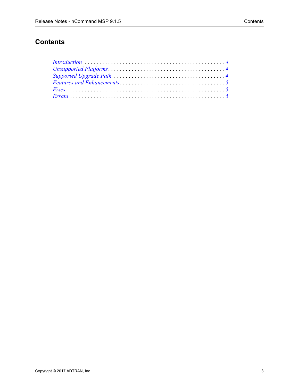# **Contents**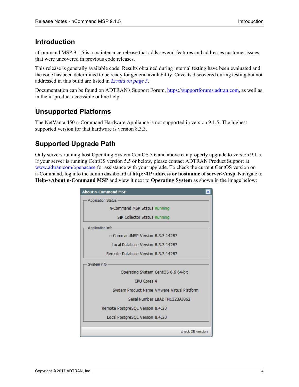## <span id="page-3-2"></span>**Introduction**

nCommand MSP 9.1.5 is a maintenance release that adds several features and addresses customer issues that were uncovered in previous code releases.

This release is generally available code. Results obtained during internal testing have been evaluated and the code has been determined to be ready for general availability. Caveats discovered during testing but not addressed in this build are listed in *[Errata on page 5](#page-4-2)*.

[Documentation can be found on ADTRAN's Support Forum, h](https://supportforums.adtran.com)ttps://supportforums.adtran.com, as well as in the in-product accessible online help.

## <span id="page-3-0"></span>**Unsupported Platforms**

The NetVanta 450 n-Command Hardware Appliance is not supported in version 9.1.5. The highest supported version for that hardware is version 8.3.3.

## <span id="page-3-1"></span>**Supported Upgrade Path**

Only servers running host Operating System CentOS 5.6 and above can properly upgrade to version 9.1.5. If your server is running CentOS version 5.5 or below, please contact ADTRAN Product Support at <www.adtran.com/openacase>for assistance with your upgrade. To check the current CentOS version on n-Command, log into the admin dashboard at **http:<IP address or hostname of server>/msp**. Navigate to **Help->About n-Command MSP** and view it next to **Operating System** as shown in the image below:

| <b>About n-Command MSP</b>                  |
|---------------------------------------------|
| <b>Application Status</b>                   |
| n-Command MSP Status Running                |
| SIP Collector Status Running                |
| Application Info                            |
| n-CommandMSP Version 8.3.3-14287            |
| Local Database Version 8.3.3-14287          |
| Remote Database Version 8.3.3-14287         |
| System Info                                 |
| Operating System CentOS 6.6 64-bit          |
| CPU Cores 4                                 |
| System Product Name VMware Virtual Platform |
| Serial Number LBADTN1323A1862               |
| Remote PostgreSOL Version 8.4.20            |
| Local PostgreSQL Version 8.4.20             |
|                                             |
| check DB version                            |